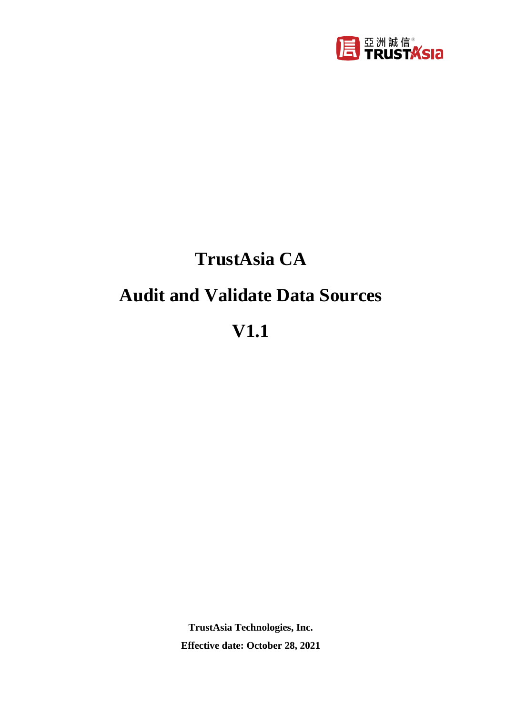

# **TrustAsia CA**

## **Audit and Validate Data Sources**

# **V1.1**

**TrustAsia Technologies, Inc. Effective date: October 28, 2021**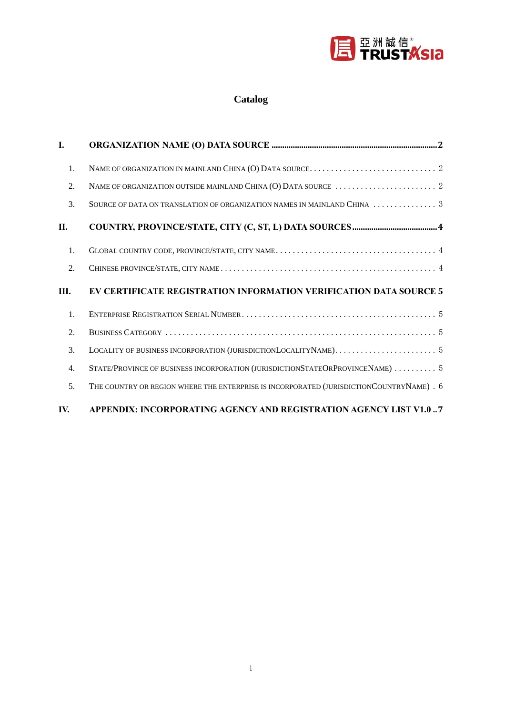

#### **Catalog**

| L   |                                                                                                                      |
|-----|----------------------------------------------------------------------------------------------------------------------|
| 1.  |                                                                                                                      |
| 2.  | NAME OF ORGANIZATION OUTSIDE MAINLAND CHINA (O) DATA SOURCE $\ldots \ldots \ldots \ldots \ldots \ldots \ldots$       |
| 3.  | SOURCE OF DATA ON TRANSLATION OF ORGANIZATION NAMES IN MAINLAND CHINA $\,\ldots\,\ldots\,\ldots\,\ldots\,\ldots\,$ 3 |
| П.  |                                                                                                                      |
| 1.  |                                                                                                                      |
| 2.  |                                                                                                                      |
| Ш.  | EV CERTIFICATE REGISTRATION INFORMATION VERIFICATION DATA SOURCE 5                                                   |
| 1.  |                                                                                                                      |
| 2.  |                                                                                                                      |
| 3.  |                                                                                                                      |
| 4.  | STATE/PROVINCE OF BUSINESS INCORPORATION (JURISDICTIONSTATEORPROVINCENAME)  5                                        |
| 5.  | THE COUNTRY OR REGION WHERE THE ENTERPRISE IS INCORPORATED (JURISDICTIONCOUNTRYNAME) . 6                             |
| IV. | APPENDIX: INCORPORATING AGENCY AND REGISTRATION AGENCY LIST V1.0 7                                                   |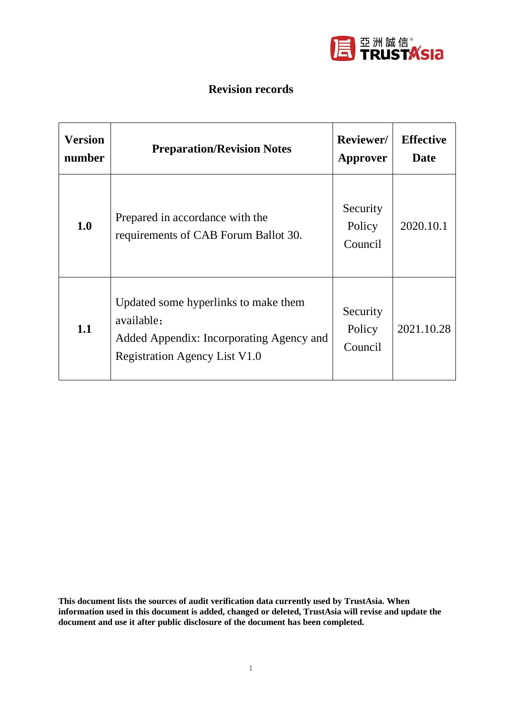

#### **Revision records**

| <b>Version</b><br>number | <b>Preparation/Revision Notes</b>                                                                                               | Reviewer/<br>Approver                     | <b>Effective</b><br>Date |
|--------------------------|---------------------------------------------------------------------------------------------------------------------------------|-------------------------------------------|--------------------------|
| 1.0                      | Prepared in accordance with the<br>requirements of CAB Forum Ballot 30.                                                         | Security<br>Policy<br>Counci <sub>1</sub> | 2020.10.1                |
| 1.1                      | Updated some hyperlinks to make them<br>available;<br>Added Appendix: Incorporating Agency and<br>Registration Agency List V1.0 | Security<br>Policy<br>Council             | 2021.10.28               |

**This document lists the sources of audit verification data currently used by TrustAsia. When information used in this document is added, changed or deleted, TrustAsia will revise and update the document and use it after public disclosure of the document has been completed.**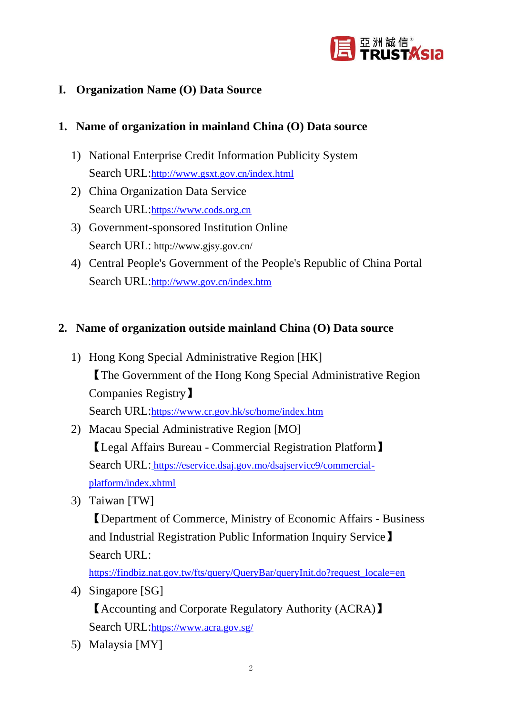

#### **I. Organization Name (O) Data Source**

#### **1. Name of organization in mainland China (O) Data source**

- 1) National Enterprise Credit Information Publicity System Search URL:<http://www.gsxt.gov.cn/index.html>
- 2) China Organization Data Service Search URL:[https://www.cods.org.cn](https://www.cods.org.cn/)
- 3) Government-sponsored Institution Online Search URL: http://www.gjsy.gov.cn/
- 4) Central People's Government of the People's Republic of China Portal Search URL:<http://www.gov.cn/index.htm>

#### **2. Name of organization outside mainland China (O) Data source**

- 1) Hong Kong Special Administrative Region [HK] 【The Government of the Hong Kong Special Administrative Region Companies Registry】 Search URL:<https://www.cr.gov.hk/sc/home/index.htm>
- 2) Macau Special Administrative Region [MO] 【Legal Affairs Bureau - Commercial Registration Platform】 Search URL: [https://eservice.dsaj.gov.mo/dsajservice9/commercial](https://eservice.dsaj.gov.mo/dsajservice9/commercial-platform/index.xhtml)[platform/index.xhtml](https://eservice.dsaj.gov.mo/dsajservice9/commercial-platform/index.xhtml)
- 3) Taiwan [TW]

【Department of Commerce, Ministry of Economic Affairs - Business and Industrial Registration Public Information Inquiry Service】 Search URL:

[https://findbiz.nat.gov.tw/fts/query/QueryBar/queryInit.do?request\\_locale=en](https://findbiz.nat.gov.tw/fts/query/QueryBar/queryInit.do?request_locale=en)

4) Singapore [SG]

【Accounting and Corporate Regulatory Authority (ACRA)】 Search URL:<https://www.acra.gov.sg/>

5) Malaysia [MY]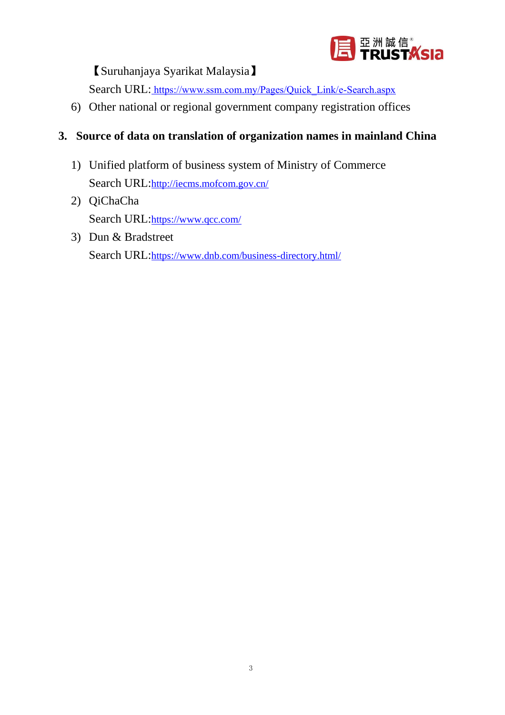

【Suruhanjaya Syarikat Malaysia】

Search URL: [https://www.ssm.com.my/Pages/Quick\\_Link/e-Search.aspx](https://www.ssm.com.my/Pages/Quick_Link/e-Search.aspx)

6) Other national or regional government company registration offices

### **3. Source of data on translation of organization names in mainland China**

- 1) Unified platform of business system of Ministry of Commerce Search URL: <http://iecms.mofcom.gov.cn/>
- 2) QiChaCha Search URL:<https://www.qcc.com/>
- 3) Dun & Bradstreet Search URL:<https://www.dnb.com/business-directory.html/>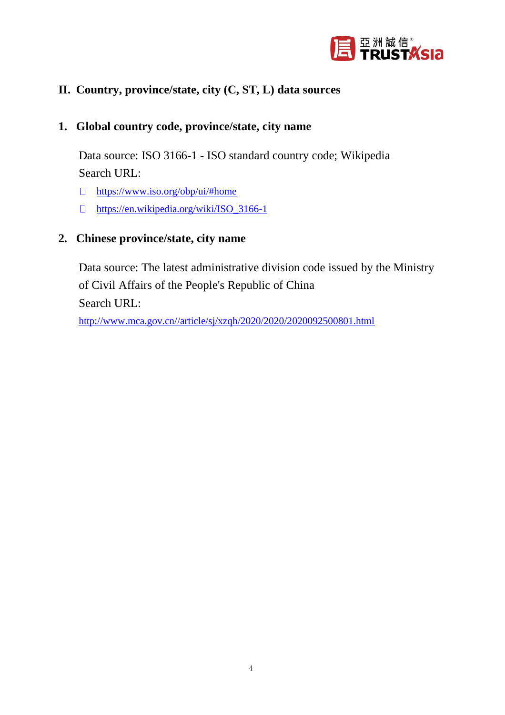

#### **II. Country, province/state, city (C, ST, L) data sources**

#### **1. Global country code, province/state, city name**

Data source: ISO 3166-1 - ISO standard country code; Wikipedia Search URL:

- $\Box$ <https://www.iso.org/obp/ui/#home>
- $\Box$ [https://en.wikipedia.org/wiki/ISO\\_3166-1](https://en.wikipedia.org/wiki/ISO_3166-1)

#### **2. Chinese province/state, city name**

Data source: The latest administrative division code issued by the Ministry of Civil Affairs of the People's Republic of China Search URL:

[http://www.mca.gov.cn//article/sj/xzqh/2020/2020/2020092500801.html](http://www.mca.gov.cn/article/sj/xzqh/2020/2020/2020092500801.html)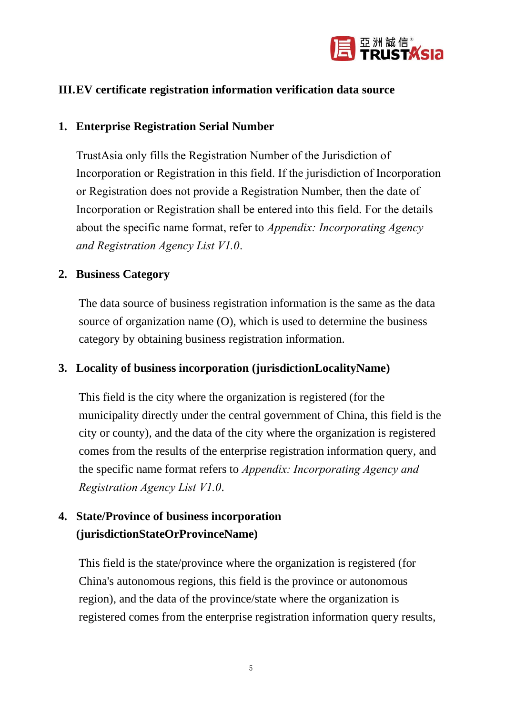

#### **III.EV certificate registration information verification data source**

#### **1. Enterprise Registration Serial Number**

TrustAsia only fills the Registration Number of the Jurisdiction of Incorporation or Registration in this field. If the jurisdiction of Incorporation or Registration does not provide a Registration Number, then the date of Incorporation or Registration shall be entered into this field. For the details about the specific name format, refer to *Appendix: Incorporating Agency and Registration Agency List V1.0*.

#### **2. Business Category**

The data source of business registration information is the same as the data source of organization name (O), which is used to determine the business category by obtaining business registration information.

#### **3. Locality of business incorporation (jurisdictionLocalityName)**

This field is the city where the organization is registered (for the municipality directly under the central government of China, this field is the city or county), and the data of the city where the organization is registered comes from the results of the enterprise registration information query, and the specific name format refers to *Appendix: Incorporating Agency and Registration Agency List V1.0*.

### **4. State/Province of business incorporation (jurisdictionStateOrProvinceName)**

This field is the state/province where the organization is registered (for China's autonomous regions, this field is the province or autonomous region), and the data of the province/state where the organization is registered comes from the enterprise registration information query results,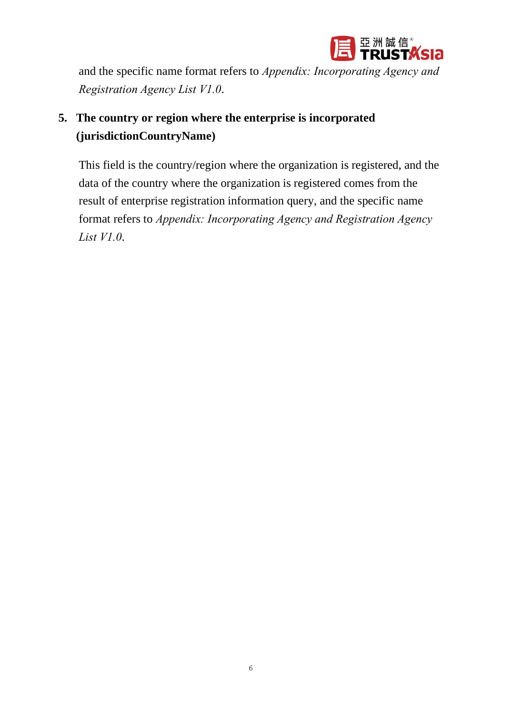

and the specific name format refers to *Appendix: Incorporating Agency and Registration Agency List V1.0*.

## **5. The country or region where the enterprise is incorporated (jurisdictionCountryName)**

This field is the country/region where the organization is registered, and the data of the country where the organization is registered comes from the result of enterprise registration information query, and the specific name format refers to *Appendix: Incorporating Agency and Registration Agency List V1.0*.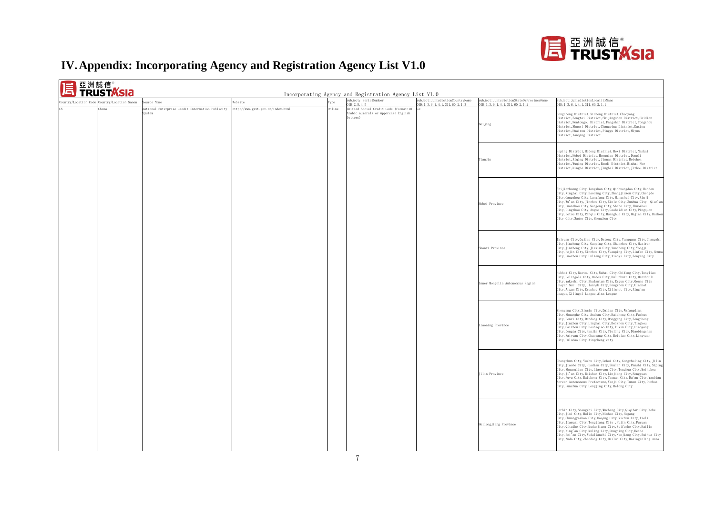

### **IV.Appendix: Incorporating Agency and Registration Agency List V1.0**

| puntry/Location Code Country/Location Namen | aurce Name                                               | Website                                     | ype | subject: serialNumber<br>ID: 2.5.4.5                                                      | subject: jurisdictionCountryName<br>ID: 1, 3, 6, 1, 4, 1, 311, 60, 2, 1, 3 | subject: jurisdictionStateOrProvinceName<br>ID: 1, 3, 6, 1, 4, 1, 311, 60, 2, 1, 2                                                                                                                                                                                                                                                                                                                                                                    | subject:jurisdictionLocalityName<br>ID: 1, 3, 6, 1, 4, 1, 311, 60, 2, 1, 1                                                                                                                                                                                                                                                                                                                                                                                                                          |
|---------------------------------------------|----------------------------------------------------------|---------------------------------------------|-----|-------------------------------------------------------------------------------------------|----------------------------------------------------------------------------|-------------------------------------------------------------------------------------------------------------------------------------------------------------------------------------------------------------------------------------------------------------------------------------------------------------------------------------------------------------------------------------------------------------------------------------------------------|-----------------------------------------------------------------------------------------------------------------------------------------------------------------------------------------------------------------------------------------------------------------------------------------------------------------------------------------------------------------------------------------------------------------------------------------------------------------------------------------------------|
| hina                                        | ational Enterprise Credit Information Publicity<br>ystem | Online<br>http://www.gsxt.gov.cn/index.html |     | Unified Social Credit Code (Format:18<br>Arabic numerals or uppercase English<br>letters) |                                                                            | Beijing                                                                                                                                                                                                                                                                                                                                                                                                                                               | Dongcheng District, Xicheng District, Chaoyang<br>District, Fengtai District, Shijingshan District, Haidian<br>District, Mentougou District, Fangshan District, Tongzhou<br>District, Shunyi District, Changping District, Daxing<br>District, Huairou District, Pinggu District, Miyun<br>District, Yanqing District                                                                                                                                                                               |
|                                             |                                                          |                                             |     |                                                                                           |                                                                            | Tianjin                                                                                                                                                                                                                                                                                                                                                                                                                                               | Heping District, Hedong District, Hexi District, Nankai<br>District, Hebei District, Hongqiao District, Dongli<br>District, Xiqing District, Jinnan District, Beichen<br>District, Wuqing District, Baodi District, Binhai New<br>District, Ninghe District, Jinghai District, Jizhou District                                                                                                                                                                                                      |
|                                             |                                                          |                                             |     |                                                                                           |                                                                            | Hebei Province                                                                                                                                                                                                                                                                                                                                                                                                                                        | Shijiazhuang City, Tangshan City, Qinhuangdao City, Handan<br>City, Xingtai City, Baoding City, Zhangjiakou City, Chengde<br>City, Cangzhou City, Langfang City, Hengshui City, Xinji<br>City, Wu'an City, Jinzhou City, Xinle City, Zunhua City , Qian'an<br>City, Luanzhou City, Nangong City, Shahe City, Zhuozhou<br>City, Dingzhou City, Anguo City, Gaobeidian City, Pingquan<br>City, Botou City, Renqiu City, Huanghua City, Hejian City, Bazhou<br>City City, Sanhe City, Shenzhou City    |
|                                             |                                                          |                                             |     |                                                                                           |                                                                            | Shanxi Province                                                                                                                                                                                                                                                                                                                                                                                                                                       | Taiyuan City, Gujiao City, Datong City, Yangquan City, Changzhi<br>City, Jincheng City, Gaoping City, Shuozhou City, Huairen<br>City, Jinzhong City, Jiexiu City, Yuncheng City, Yongji<br>City, Hejin City, Xinzhou City, Yuanping City, Linfen City, Houma<br>City, Huozhou City, Luliang City, Xiaoyi City, Fenyang City                                                                                                                                                                         |
|                                             |                                                          |                                             |     |                                                                                           |                                                                            | Inner Mongolia Autonomous Region                                                                                                                                                                                                                                                                                                                                                                                                                      | Huhhot City, Baotou City, Wuhai City, Chifeng City, Tongliao<br>City, Holingola City, Ordos City, Hulunbuir City, Manzhouli<br>City, Yakeshi City, Zhalantun City, Ergun City, Genhe City<br>, Bayan Nur City, Ulanqab City, Fengzhen City, Ulanhot<br>City, Arxan City, Erenhot City, Xilinhot City, Xing'an<br>League, Xilingol League, Alxa League                                                                                                                                               |
|                                             |                                                          |                                             |     |                                                                                           |                                                                            | Liaoning Province                                                                                                                                                                                                                                                                                                                                                                                                                                     | Shenyang City, Xinmin City, Dalian City, Wafangdian<br>City,Zhuanghe City,Anshan City,Haicheng City,Fushun<br>City, Benxi City, Dandong City, Donggang City, Fengcheng<br>City, Jinzhou City, Linghai City, Beizhen City, Yingkou<br>City,Gaizhou City,Dashiqiao City,Fuxin City,Liaoyang<br>City, Dengta City, Panjin City, Tieling City, Diaobingshan<br>City, Kaiyuan City, Chaoyang City, Beipiao City, Lingyuan<br>City, Huludao City, Xingcheng city                                          |
|                                             |                                                          |                                             |     |                                                                                           | Jilin Province                                                             | Changchun City, Yushu City, Dehui City, Gongzhuling City, Jilin<br>City, Jiaohe City, Huadian City, Shulan City, Panshi City, Siping<br>City, Shuangliao City, Liaoyuan City, Tonghua City, Meihekou<br>City, Ji'an City, Baishan City, Linjiang City, Songyuan<br>City, Fuyu City, Baicheng City, Taonan City, Da'an City, Yanbian<br>Korean Autonomous Prefecture, Yanji City, Tumen City, Dunhua<br>City, Hunchun City, Longjing City, Helong City |                                                                                                                                                                                                                                                                                                                                                                                                                                                                                                     |
|                                             |                                                          |                                             |     |                                                                                           |                                                                            | Heilongjiang Province                                                                                                                                                                                                                                                                                                                                                                                                                                 | Harbin City, Shangzhi City, Wuchang City, Qiqihar City, Nehe<br>City, Jixi City, Hulin City, Mishan City, Hegang<br>City, Shuangyashan City, Daqing City, Yichun City, Tieli<br>City, Jiamusi City, Tongjiang City , Fujin City, Fuyuan<br>City, Qitaihe City, Mudanjiang City, Suifenhe City, Hailin<br>City, Ning'an City, Muling City, Dongning City, Heihe<br>City, Bei'an City, Wudalianchi City, Nenjiang City, Suihua City<br>City, Anda City, Zhaodong City, Hailun City, Daxinganling Area |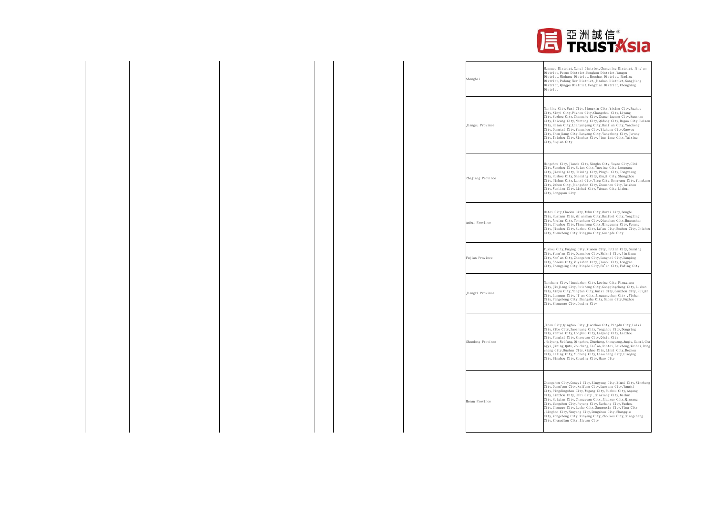

| Shanghai                | Huangpu District, Xuhui District, Changning District, Jing'an<br>District, Putuo District, Hongkou District, Yangpu<br>District, Minhang District, Baoshan District, Jiading<br>District, Pudong New District, Jinshan District, Songjiang<br>District, Qingpu District, Fengxian District, Chongming<br>District                                                                                                                                                                                                                                                                                   |
|-------------------------|-----------------------------------------------------------------------------------------------------------------------------------------------------------------------------------------------------------------------------------------------------------------------------------------------------------------------------------------------------------------------------------------------------------------------------------------------------------------------------------------------------------------------------------------------------------------------------------------------------|
| <b>Tiangsu Province</b> | Nanjing City, Wuxi City, Jiangyin City, Yixing City, Xuzhou<br>City, Xinyi City, Pizhou City, Changzhou City, Liyang<br>City, Suzhou City, Changshu City, Zhangjiagang City, Kunshan<br>City, Taicang City, Nantong City, Qidong City, Rugao City, Haimen<br>City, Haian City, Lianyungang City, Huai'an City, Yancheng<br>City, Dongtai City, Yangzhou City, Yizheng City, Gaoyou<br>City, Zhenjiang City, Danyang City, Yangzhong City, Jurong<br>City, Taizhou City, Xinghua City, Jingjiang City, Taixing<br>City, Suqian City                                                                  |
| Zhejiang Province       | Hangzhou City, Jiande City, Ningbo City, Yuyao City, Cixi<br>City, Wenzhou City, Ruian City, Yueqing City, Longgang<br>City, Jiaxing City, Haining City, Pinghu City, Tongxiang<br>City, Huzhou City, Shaoxing City, Zhuji City, Shengzhou<br>City, Jinhua City, Lanxi City, Yiwu City, Dongyang City, Yongkang<br>City, Qzhou City, Jiangshan City, Zhoushan City, Taizhou<br>City, Wenling City, Linhai City, Yuhuan City, Lishui<br>City, Longquan City                                                                                                                                          |
| Anhui Province          | Hefei City, Chaohu City, Wuhu City, Wuwei City, Bengbu<br>City, Huainan City, Ma'anshan City, Huaibei City, Tongling<br>City, Anging City, Tongcheng City, Qianshan City, Huangshan<br>City, Chuzhou City, Tianchang City, Mingguang City, Fuyang<br>City, Jieshou City, Suzhou City, Lu'an City, Bozhou City, Chizhou<br>City, Xuancheng City, Ningguo City, Guangde City                                                                                                                                                                                                                          |
| Fujian Province         | Fuzhou City, Fuqing City, Xiamen City, Putian City, Sanming<br>City, Yong'an City, Quanzhou City, Shishi City, Jinjiang<br>City, Nan'an City, Zhangzhou City, Longhai City, Nanping<br>City, Shaowu City, Wuyishan City, Jianou City, Longyan<br>City, Zhangping City, Ningde City, Fu'an City, Fuding City                                                                                                                                                                                                                                                                                         |
| Tiangxi Province        | Nanchang City, Jingdezhen City, Leping City, Pingxiang<br>City, Jiujiang City, Ruichang City, Gongqingcheng City, Lushan<br>City, Xinyu City, Yingtan City, Guixi City, Ganzhou City, Ruijin<br>City, Longnan City, Ji'an City, Jinggangshan City, Yichun<br>City, Fengcheng City, Zhangshu City, Gaoan City, Fuzhou<br>City, Shangrao City, Dexing City                                                                                                                                                                                                                                            |
| Shandong Province       | Jinan City, Qingdao City, Jiaozhou City, Pingdu City, Laixi<br>City, Zibo City, Zaozhuang City, Tengzhou City, Dongying<br>City, Yantai City, Longkou City, Laiyang City, Laizhou<br>City, Penglai City, Zhaoyuan City, Qixia City<br>, Haiyang, Weifang, Qingzhou, Zhucheng, Shouguang, Anqiu, Gaomi, Cha<br>ngyi, Jining, Qufu, Zoucheng, Tai'an, Xintai, Feicheng, Weihai, Rong<br>cheng City, Rushan City, Rizhao City, Linyi City, Dezhou<br>City, Leling City, Yucheng City, Liaocheng City, Linqing<br>City, Binzhou City, Zouping City, Heze City                                           |
| Henan Province          | Zhengzhou City, Gongyi City, Xingyang City, Xinmi City, Xinzheng<br>City, Dengfeng City, Kaifeng City, Luoyang City, Yanshi<br>City, Pingdingshan City, Wugang City, Ruzhou City, Anyang<br>City, Linzhou City, Hebi City , Xinxiang City, Weihui<br>City, Huixian City, Changyuan City, Jiaozuo City, Qinyang<br>City, Mengzhou City, Puyang City, Xuchang City, Yuzhou<br>City, Changge City, Luohe City, Sanmenxia City, Yima City<br>, Lingbao City, Nanyang City, Dengzhou City, Shangqiu<br>City, Yongcheng City, Xinyang City, Zhoukou City, Xiangcheng<br>City, Zhumadian City, Jiyuan City |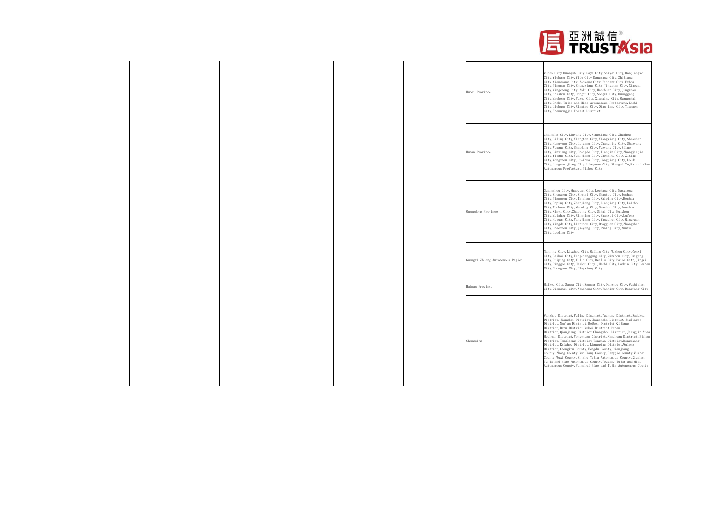

| Wuhan City, Huangsh City, Daye City, Shiyan City, Danjiangkou<br>City, Yichang City, Yidu City, Dangyang City, Zhijiang<br>City, Xiangyang City, Zaoyang City, Yicheng City, Ezhou<br>City, Jingmen City, Zhongxiang City, Jingshan City, Xiaogan<br>City, Yingcheng City, Anlu City, Hanchuan City, Jingzhou<br>City, Shishou City, Honghu City, Songzi City, Huanggang<br>City, Macheng City, Wuxue City, Xianning City, Guangshui<br>City, Enshi Tujia and Miao Autonomous Prefecture, Enshi<br>City, Lichuan City, Xiantao City, Qianjiang City, Tianmen<br>City, Shennongjia Forest District                                                                                                                                                                                                                    |
|----------------------------------------------------------------------------------------------------------------------------------------------------------------------------------------------------------------------------------------------------------------------------------------------------------------------------------------------------------------------------------------------------------------------------------------------------------------------------------------------------------------------------------------------------------------------------------------------------------------------------------------------------------------------------------------------------------------------------------------------------------------------------------------------------------------------|
| Changsha City, Liuyang City, Ningxiang City, Zhuzhou<br>City, Liling City, Xiangtan City, Xiangxiang City, Shaoshan<br>City, Hengyang City, Leiyang City, Changning City, Shaoyang<br>City, Wugang City, Shaodong City, Yueyang City, Miluo<br>City, Linxiang City, Changde City, Tianjin City, Zhangjiajie<br>City, Yiyang City, Yuanjiang City, Chenzhou City, Zixing<br>City, Yongzhou City, Huaihua City, Hongjiang City, Loudi<br>City, Lengshuijiang City, Lianyuan City, Xiangxi Tujia and Miao<br>Autonomous Prefecture, Jishou City                                                                                                                                                                                                                                                                         |
| Guangzhou City, Shaoguan City, Lechang City, Nanxiong<br>City, Shenzhen City, Zhuhai City, Shantou City, Foshan<br>City, Jiangmen City, Taishan City, Kaiping City, Heshan<br>City, Enping City, Zhanjiang City, Lianjiang City, Leizhou<br>City, Wuchuan City, Maoming City, Gaozhou City, Huazhou<br>City, Xinyi City, Zhaoqing City, Sihui City, Huizhou<br>City, Meizhou City, Xingning City, Shanwei City, Lufeng<br>City, Heyuan City, Yangjiang City, Yangchun City, Qingyuan<br>City, Yingde City, Lianzhou City, Dongguan City, Zhongshan<br>City, Chaozhou City, Jieyang City, Puning City, Yunfu<br>City, Luoding City                                                                                                                                                                                    |
| Nanning City, Liuzhou City, Guilin City, Wuzhou City, Cenxi<br>City, Beihai City, Fangchenggang City, Qinzhou City, Guigang<br>City, Guiping City, Yulin City, Beiliu City, Baise City, Jingxi<br>City, Pingguo City, Hezhou City, Hechi City, Laibin City, Heshan<br>City, Chongzuo City, Pingxiang City                                                                                                                                                                                                                                                                                                                                                                                                                                                                                                            |
| Haikou City, Sanya City, Sansha City, Danzhou City, Wuzhishan<br>City, Qionghai City, Wenchang City, Wanning City, Dongfang City                                                                                                                                                                                                                                                                                                                                                                                                                                                                                                                                                                                                                                                                                     |
| Wanzhou District, Fuling District, Yuzhong District, Dadukou<br>District, Jiangbei District, Shapingba District, Jiulongpo<br>District, Nan'an District, Beibei District, Qijiang<br>District, Dazu District, Yubei District, Banan<br>District, Qianjiang District, Changshou District, Jiangjin Area<br>Hechuan District, Yongchuan District, Nanchuan District, Bishan<br>District, Tongliang District, Tongnan District, Rongchang<br>District, Kaizhou District, Liangping District, Wulong<br>District, Chengkou County, Fengdu County, Dianjiang<br>County, Zhong County, Yun Yang County, Fengjie County, Wushan<br>County, Wuxi County, Shizhu Tujia Autonomous County, Xiushan<br>Tujia and Miao Autonomous County, Youyang Tujia and Miao<br>Autonomous County, Pengshui Miao and Tujia Autonomous County |
|                                                                                                                                                                                                                                                                                                                                                                                                                                                                                                                                                                                                                                                                                                                                                                                                                      |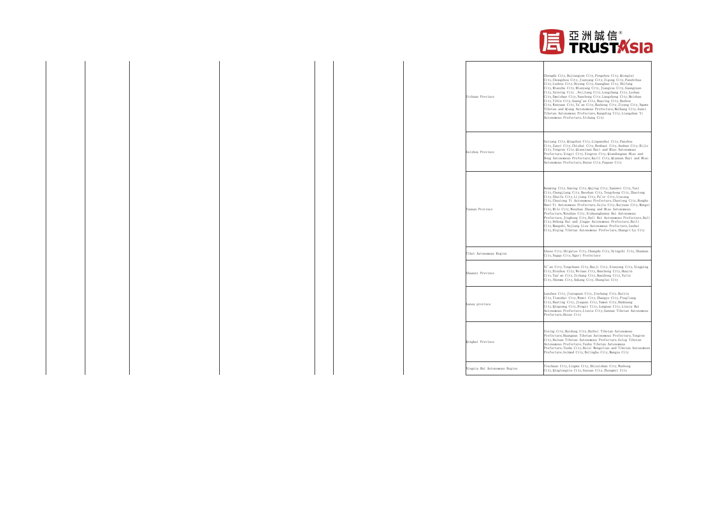

| Chengdu City, Dujiangyan City, Pengzhou City, Qionglai<br>City, Chongzhou City, Jianyang City, Zigong City, Panzhihua<br>City, Luzhou City, Deyang City, Guanghan City, Shifang<br>City, Mianzhu City, Mianyang City, Jiangyou City, Guangyuan<br>City, Suining City , Neijiang City, Longchang City, Leshan<br>Sichuan Province<br>City, Emeishan City, Nanchong City, Langzhong City, Meishan<br>City, Yibin City, Guang'an City, Huaying City, Dazhou<br>Tibetan Autonomous Prefecture, Kangding City, Liangshan Yi<br>Autonomous Prefecture, Xichang City<br>Guiyang City, Qingzhen City, Liupanshui City, Panzhou<br>City, Tongren City, Qianxinan Buyi and Miao Autonomous<br>Guizhou Province<br>Prefecture, Xingyi City, Xingren City, Qiandongnan Miao and<br>Autonomous Prefecture, Duyun City, Fuquan City<br>Kunming City, Anning City, Qujing City, Xuanwei City, Yuxi<br>City, Shuifu City, Lijiang City, Pu'er City, Lincang<br>Yunnan Province<br>City, Mile City, Wenshan Zhuang and Miao Autonomous<br>Prefecture, Wenshan City, Xishuangbanna Dai Autonomous<br>City, Dehong Dai and Jingpo Autonomous Prefecture, Ruili<br>City, Mangshi, Nujiang Lisu Autonomous Prefecture, Lushui<br>Tibet Autonomous Region<br>City, Nagqu City, Ngari Prefecture<br>City, Binzhou City, Weinan City, Hancheng City, Huayin<br>Shaanxi Province<br>City, Yan'an City, Zichang City, Hanzhong City, Yulin<br>City, Shenmu City, Ankang City, Shangluo City<br>Lanzhou City, Jiayuguan City, Jinchang City, Baiyin<br>City, Tianshui City, Wuwei City, Zhangye City, Pingliang<br>City, Huating City, Jiuquan City, Yumen City, Dunhuang<br>Gansu province<br>City, Qingyang City, Dingxi City, Longnan City, Linxia Hui<br>Prefecture, Hezuo City<br>Xining City, Haidong City, Haibei Tibetan Autonomous<br>City, Hainan Tibetan Autonomous Prefecture, Golog Tibetan<br>Qinghai Province<br>Autonomous Prefecture, Yushu Tibetan Autonomous<br>Prefecture, Golmud City, Delingha City, Mangya City |                                                                                                                                                                                                                                                                                                                                      |
|-------------------------------------------------------------------------------------------------------------------------------------------------------------------------------------------------------------------------------------------------------------------------------------------------------------------------------------------------------------------------------------------------------------------------------------------------------------------------------------------------------------------------------------------------------------------------------------------------------------------------------------------------------------------------------------------------------------------------------------------------------------------------------------------------------------------------------------------------------------------------------------------------------------------------------------------------------------------------------------------------------------------------------------------------------------------------------------------------------------------------------------------------------------------------------------------------------------------------------------------------------------------------------------------------------------------------------------------------------------------------------------------------------------------------------------------------------------------------------------------------------------------------------------------------------------------------------------------------------------------------------------------------------------------------------------------------------------------------------------------------------------------------------------------------------------------------------------------------------------------------------------------------------------------------------------------------------------------------------------------------------------|--------------------------------------------------------------------------------------------------------------------------------------------------------------------------------------------------------------------------------------------------------------------------------------------------------------------------------------|
|                                                                                                                                                                                                                                                                                                                                                                                                                                                                                                                                                                                                                                                                                                                                                                                                                                                                                                                                                                                                                                                                                                                                                                                                                                                                                                                                                                                                                                                                                                                                                                                                                                                                                                                                                                                                                                                                                                                                                                                                             | City, Wanyuan City, Ya'an City, Bazhong City, Ziyang City, Ngawa<br>Tibetan and Qiang Autonomous Prefecture, Malkang City, Ganzi                                                                                                                                                                                                     |
|                                                                                                                                                                                                                                                                                                                                                                                                                                                                                                                                                                                                                                                                                                                                                                                                                                                                                                                                                                                                                                                                                                                                                                                                                                                                                                                                                                                                                                                                                                                                                                                                                                                                                                                                                                                                                                                                                                                                                                                                             | City, Zunyi City, Chishui City, Renhuai City, Anshun City, Bijie<br>Dong Autonomous Prefecture, Kaili City, Qiannan Buyi and Miao                                                                                                                                                                                                    |
|                                                                                                                                                                                                                                                                                                                                                                                                                                                                                                                                                                                                                                                                                                                                                                                                                                                                                                                                                                                                                                                                                                                                                                                                                                                                                                                                                                                                                                                                                                                                                                                                                                                                                                                                                                                                                                                                                                                                                                                                             | City, Chengjiang City, Baoshan City, Tengchong City, Zhaotong<br>City, Chuxiong Yi Autonomous Prefecture, Chuxiong City, Honghe<br>Hani-Yi Autonomous Prefecture, Gejiu City, Kaiyuan City, Mengzi<br>Prefecture, Jinghong City, Dali Bai Autonomous Prefecture, Dali<br>City, Diqing Tibetan Autonomous Prefecture, Shangri-La City |
|                                                                                                                                                                                                                                                                                                                                                                                                                                                                                                                                                                                                                                                                                                                                                                                                                                                                                                                                                                                                                                                                                                                                                                                                                                                                                                                                                                                                                                                                                                                                                                                                                                                                                                                                                                                                                                                                                                                                                                                                             | Lhasa City, Shigatse City, Changdu City, Nyingchi City, Shannan                                                                                                                                                                                                                                                                      |
|                                                                                                                                                                                                                                                                                                                                                                                                                                                                                                                                                                                                                                                                                                                                                                                                                                                                                                                                                                                                                                                                                                                                                                                                                                                                                                                                                                                                                                                                                                                                                                                                                                                                                                                                                                                                                                                                                                                                                                                                             | Xi'an City, Tongchuan City, Baoji City, Xianyang City, Xingping                                                                                                                                                                                                                                                                      |
|                                                                                                                                                                                                                                                                                                                                                                                                                                                                                                                                                                                                                                                                                                                                                                                                                                                                                                                                                                                                                                                                                                                                                                                                                                                                                                                                                                                                                                                                                                                                                                                                                                                                                                                                                                                                                                                                                                                                                                                                             | Autonomous Prefecture, Linxia City, Gannan Tibetan Autonomous                                                                                                                                                                                                                                                                        |
|                                                                                                                                                                                                                                                                                                                                                                                                                                                                                                                                                                                                                                                                                                                                                                                                                                                                                                                                                                                                                                                                                                                                                                                                                                                                                                                                                                                                                                                                                                                                                                                                                                                                                                                                                                                                                                                                                                                                                                                                             | Prefecture, Huangnan Tibetan Autonomous Prefecture, Tongren<br>Prefecture, Yushu City, Haixi Mongolian and Tibetan Autonomous                                                                                                                                                                                                        |
| Ningxia Hui Autonomous Region<br>City, Qingtongxia City, Guyuan City, Zhongwei City                                                                                                                                                                                                                                                                                                                                                                                                                                                                                                                                                                                                                                                                                                                                                                                                                                                                                                                                                                                                                                                                                                                                                                                                                                                                                                                                                                                                                                                                                                                                                                                                                                                                                                                                                                                                                                                                                                                         | Yinchuan City, Lingwu City, Shizuishan City, Wuzhong                                                                                                                                                                                                                                                                                 |